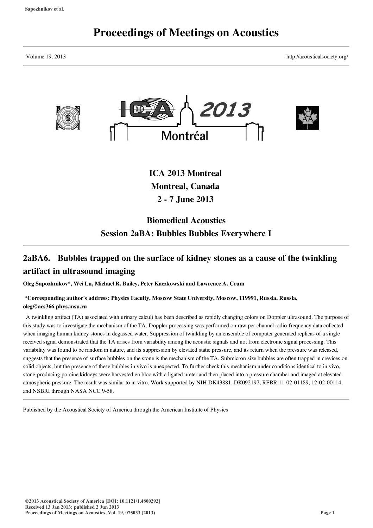# Proceedings of Meetings on Acoustics



## Biomedical Acoustics Session 2aBA: Bubbles Bubbles Everywhere I

### 2aBA6. Bubbles trapped on the surface of kidney stones as a cause of the twinkling artifact in ultrasound imaging

Oleg Sapozhnikov\*, Wei Lu, Michael R. Bailey, Peter Kaczkowski and Lawrence A. Crum

### \*Corresponding author's address: Physics Faculty, Moscow State University, Moscow, 119991, Russia, Russia, oleg@acs366.phys.msu.ru

A twinkling artifact (TA) associated with urinary calculi has been described as rapidly changing colors on Doppler ultrasound. The purpose of this study was to investigate the mechanism of the TA. Doppler processing was performed on raw per channel radio-frequency data collected when imaging human kidney stones in degassed water. Suppression of twinkling by an ensemble of computer generated replicas of a single received signal demonstrated that the TA arises from variability among the acoustic signals and not from electronic signal processing. This variability was found to be random in nature, and its suppression by elevated static pressure, and its return when the pressure was released, suggests that the presence of surface bubbles on the stone is the mechanism of the TA. Submicron size bubbles are often trapped in crevices on solid objects, but the presence of these bubbles in vivo is unexpected. To further check this mechanism under conditions identical to in vivo, stone-producing porcine kidneys were harvested en bloc with a ligated ureter and then placed into a pressure chamber and imaged at elevated atmospheric pressure. The result was similar to in vitro. Work supported by NIH DK43881, DK092197, RFBR 11-02-01189, 12-02-00114, and NSBRI through NASA NCC 9-58.

Published by the Acoustical Society of America through the American Institute of Physics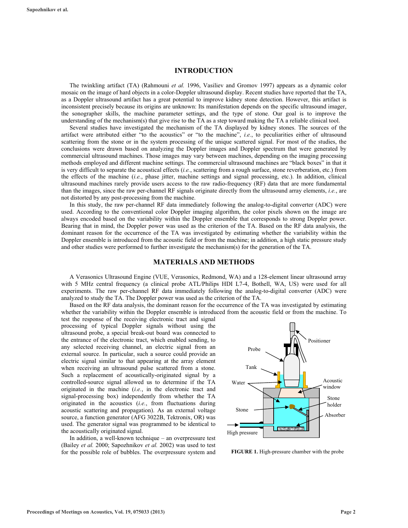#### **INTRODUCTION**

The twinkling artifact (TA) (Rahmouni *et al.* 1996, Vasiliev and Gromov 1997) appears as a dynamic color mosaic on the image of hard objects in a color-Doppler ultrasound display. Recent studies have reported that the TA, as a Doppler ultrasound artifact has a great potential to improve kidney stone detection. However, this artifact is inconsistent precisely because its origins are unknown: Its manifestation depends on the specific ultrasound imager, the sonographer skills, the machine parameter settings, and the type of stone. Our goal is to improve the understanding of the mechanism(s) that give rise to the TA as a step toward making the TA a reliable clinical tool.

Several studies have investigated the mechanism of the TA displayed by kidney stones. The sources of the artifact were attributed either "to the acoustics" or "to the machine", *i.e.*, to peculiarities either of ultrasound scattering from the stone or in the system processing of the unique scattered signal. For most of the studies, the conclusions were drawn based on analyzing the Doppler images and Doppler spectrum that were generated by commercial ultrasound machines. Those images may vary between machines, depending on the imaging processing methods employed and different machine settings. The commercial ultrasound machines are "black boxes" in that it is very difficult to separate the acoustical effects (*i.e.*, scattering from a rough surface, stone reverberation, etc.) from the effects of the machine (*i.e.*, phase jitter, machine settings and signal processing, etc.). In addition, clinical ultrasound machines rarely provide users access to the raw radio-frequency (RF) data that are more fundamental than the images, since the raw per-channel RF signals originate directly from the ultrasound array elements, *i.e.*, are not distorted by any post-processing from the machine.

In this study, the raw per-channel RF data immediately following the analog-to-digital converter (ADC) were used. According to the conventional color Doppler imaging algorithm, the color pixels shown on the image are always encoded based on the variability within the Doppler ensemble that corresponds to strong Doppler power. Bearing that in mind, the Doppler power was used as the criterion of the TA. Based on the RF data analysis, the dominant reason for the occurrence of the TA was investigated by estimating whether the variability within the Doppler ensemble is introduced from the acoustic field or from the machine; in addition, a high static pressure study and other studies were performed to further investigate the mechanism(s) for the generation of the TA.

#### **MATERIALS AND METHODS**

A Verasonics Ultrasound Engine (VUE, Verasonics, Redmond, WA) and a 128-element linear ultrasound array with 5 MHz central frequency (a clinical probe ATL/Philips HDI L7-4, Bothell, WA, US) were used for all experiments. The raw per-channel RF data immediately following the analog-to-digital converter (ADC) were analyzed to study the TA. The Doppler power was used as the criterion of the TA.

Based on the RF data analysis, the dominant reason for the occurrence of the TA was investigated by estimating whether the variability within the Doppler ensemble is introduced from the acoustic field or from the machine. To

test the response of the receiving electronic tract and signal processing of typical Doppler signals without using the ultrasound probe, a special break-out board was connected to the entrance of the electronic tract, which enabled sending, to any selected receiving channel, an electric signal from an external source. In particular, such a source could provide an electric signal similar to that appearing at the array element when receiving an ultrasound pulse scattered from a stone. Such a replacement of acoustically-originated signal by a controlled-source signal allowed us to determine if the TA originated in the machine (*i.e.*, in the electronic tract and signal-processing box) independently from whether the TA originated in the acoustics (*i.e.*, from fluctuations during acoustic scattering and propagation). As an external voltage source, a function generator (AFG 3022B, Tektronix, OR) was used. The generator signal was programmed to be identical to the acoustically originated signal.

In addition, a well-known technique – an overpressure test (Bailey *et al.* 2000; Sapozhnikov *et al.* 2002) was used to test for the possible role of bubbles. The overpressure system and **FIGURE 1.** High-pressure chamber with the probe

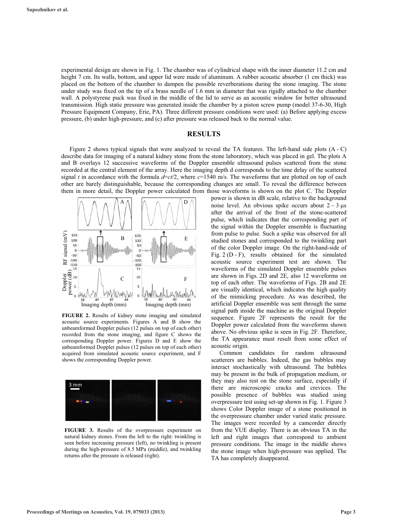experimental design are shown in Fig. 1. The chamber was of cylindrical shape with the inner diameter 11.2 cm and height 7 cm. Its walls, bottom, and upper lid were made of aluminum. A rubber acoustic absorber (1 cm thick) was placed on the bottom of the chamber to dampen the possible reverberations during the stone imaging. The stone under study was fixed on the tip of a brass needle of 1.6 mm in diameter that was rigidly attached to the chamber wall. A polystyrene puck was fixed in the middle of the lid to serve as an acoustic window for better ultrasound transmission. High static pressure was generated inside the chamber by a piston screw pump (model 37-6-30, High Pressure Equipment Company, Erie, PA). Three different pressure conditions were used: (a) Before applying excess pressure, (b) under high-pressure, and (c) after pressure was released back to the normal value.

#### **RESULTS**

Figure 2 shows typical signals that were analyzed to reveal the TA features. The left-hand side plots (A - C) describe data for imaging of a natural kidney stone from the stone laboratory, which was placed in gel. The plots A and B overlays 12 successive waveforms of the Doppler ensemble ultrasound pulses scattered from the stone recorded at the central element of the array. Here the imaging depth d corresponds to the time delay of the scattered signal *t* in accordance with the formula  $d=c t/2$ , where  $c=1540$  m/s. The waveforms that are plotted on top of each other are barely distinguishable, because the corresponding changes are small. To reveal the difference between them in more detail, the Doppler power calculated from those waveforms is shown on the plot C. The Doppler



**FIGURE 2.** Results of kidney stone imaging and simulated acoustic source experiments. Figures A and B show the unbeamformed Doppler pulses (12 pulses on top of each other) recorded from the stone imaging, and figure C shows the corresponding Doppler power. Figures D and E show the unbeamformed Doppler pulses (12 pulses on top of each other) acquired from simulated acoustic source experiment, and F shows the corresponding Doppler power.



**FIGURE 3.** Results of the overpressure experiment on natural kidney stones. From the left to the right: twinkling is seen before increasing pressure (left), no twinkling is present during the high-pressure of 8.5 MPa (middle), and twinkling returns after the pressure is released (right).

power is shown in dB scale, relative to the background noise level. An obvious spike occurs about  $2 - 3 \mu s$ after the arrival of the front of the stone-scattered pulse, which indicates that the corresponding part of the signal within the Doppler ensemble is fluctuating from pulse to pulse. Such a spike was observed for all studied stones and corresponded to the twinkling part of the color Doppler image. On the right-hand-side of Fig. 2 (D - F), results obtained for the simulated acoustic source experiment test are shown. The waveforms of the simulated Doppler ensemble pulses are shown in Figs. 2D and 2E, also 12 waveforms on top of each other. The waveforms of Figs. 2B and 2E are visually identical, which indicates the high quality of the mimicking procedure. As was described, the artificial Doppler ensemble was sent through the same signal path inside the machine as the original Doppler sequence. Figure 2F represents the result for the Doppler power calculated from the waveforms shown above. No obvious spike is seen in Fig. 2F. Therefore, the TA appearance must result from some effect of acoustic origin.

Common candidates for random ultrasound scatterers are bubbles. Indeed, the gas bubbles may interact stochastically with ultrasound. The bubbles may be present in the bulk of propagation medium, or they may also rest on the stone surface, especially if there are microscopic cracks and crevices. The possible presence of bubbles was studied using overpressure test using set-up shown in Fig. 1. Figure 3 shows Color Doppler image of a stone positioned in the overpressure chamber under varied static pressure. The images were recorded by a camcorder directly from the VUE display. There is an obvious TA in the left and right images that correspond to ambient pressure conditions. The image in the middle shows the stone image when high-pressure was applied. The TA has completely disappeared.